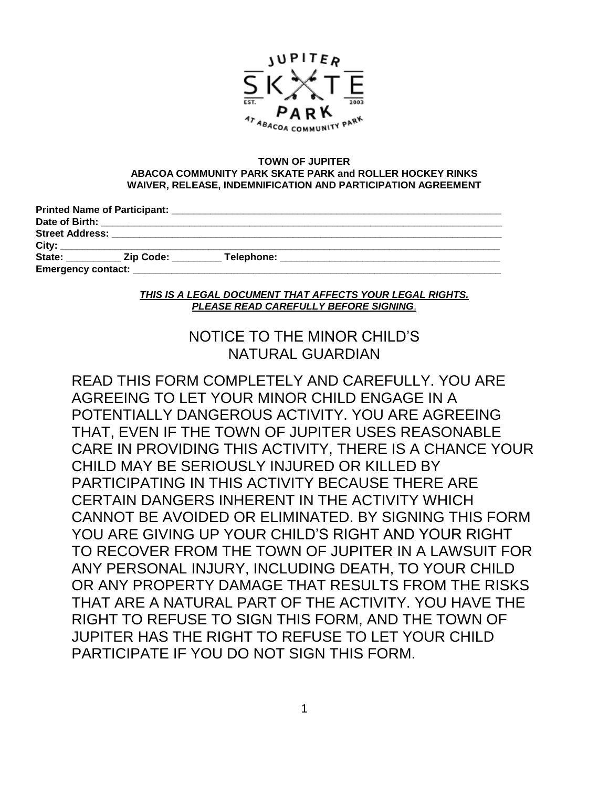

#### **TOWN OF JUPITER ABACOA COMMUNITY PARK SKATE PARK and ROLLER HOCKEY RINKS WAIVER, RELEASE, INDEMNIFICATION AND PARTICIPATION AGREEMENT**

|                           | <b>Printed Name of Participant:</b> |            |  |
|---------------------------|-------------------------------------|------------|--|
| Date of Birth:            |                                     |            |  |
| <b>Street Address:</b>    |                                     |            |  |
| City:                     |                                     |            |  |
| State:                    | <b>Zip Code:</b>                    | Telephone: |  |
| <b>Emergency contact:</b> |                                     |            |  |

#### *THIS IS A LEGAL DOCUMENT THAT AFFECTS YOUR LEGAL RIGHTS. PLEASE READ CAREFULLY BEFORE SIGNING*.

# NOTICE TO THE MINOR CHILD'S NATURAL GUARDIAN

READ THIS FORM COMPLETELY AND CAREFULLY. YOU ARE AGREEING TO LET YOUR MINOR CHILD ENGAGE IN A POTENTIALLY DANGEROUS ACTIVITY. YOU ARE AGREEING THAT, EVEN IF THE TOWN OF JUPITER USES REASONABLE CARE IN PROVIDING THIS ACTIVITY, THERE IS A CHANCE YOUR CHILD MAY BE SERIOUSLY INJURED OR KILLED BY PARTICIPATING IN THIS ACTIVITY BECAUSE THERE ARE CERTAIN DANGERS INHERENT IN THE ACTIVITY WHICH CANNOT BE AVOIDED OR ELIMINATED. BY SIGNING THIS FORM YOU ARE GIVING UP YOUR CHILD'S RIGHT AND YOUR RIGHT TO RECOVER FROM THE TOWN OF JUPITER IN A LAWSUIT FOR ANY PERSONAL INJURY, INCLUDING DEATH, TO YOUR CHILD OR ANY PROPERTY DAMAGE THAT RESULTS FROM THE RISKS THAT ARE A NATURAL PART OF THE ACTIVITY. YOU HAVE THE RIGHT TO REFUSE TO SIGN THIS FORM, AND THE TOWN OF JUPITER HAS THE RIGHT TO REFUSE TO LET YOUR CHILD PARTICIPATE IF YOU DO NOT SIGN THIS FORM.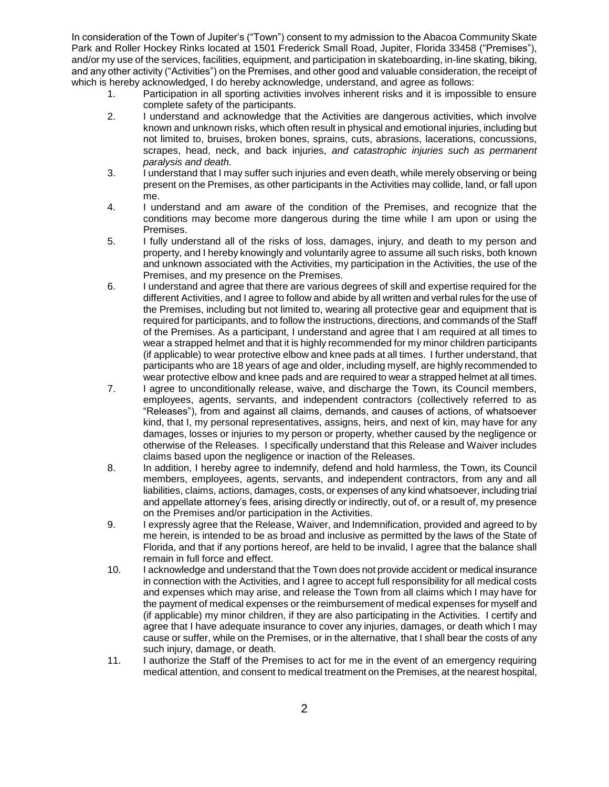In consideration of the Town of Jupiter's ("Town") consent to my admission to the Abacoa Community Skate Park and Roller Hockey Rinks located at 1501 Frederick Small Road, Jupiter, Florida 33458 ("Premises"), and/or my use of the services, facilities, equipment, and participation in skateboarding, in-line skating, biking, and any other activity ("Activities") on the Premises, and other good and valuable consideration, the receipt of which is hereby acknowledged, I do hereby acknowledge, understand, and agree as follows:

- 1. Participation in all sporting activities involves inherent risks and it is impossible to ensure complete safety of the participants.
- 2. I understand and acknowledge that the Activities are dangerous activities, which involve known and unknown risks, which often result in physical and emotional injuries, including but not limited to, bruises, broken bones, sprains, cuts, abrasions, lacerations, concussions, scrapes, head, neck, and back injuries, *and catastrophic injuries such as permanent paralysis and death.*
- 3. I understand that I may suffer such injuries and even death, while merely observing or being present on the Premises, as other participants in the Activities may collide, land, or fall upon me.
- 4. I understand and am aware of the condition of the Premises, and recognize that the conditions may become more dangerous during the time while I am upon or using the Premises.
- 5. I fully understand all of the risks of loss, damages, injury, and death to my person and property, and I hereby knowingly and voluntarily agree to assume all such risks, both known and unknown associated with the Activities, my participation in the Activities, the use of the Premises, and my presence on the Premises.
- 6. I understand and agree that there are various degrees of skill and expertise required for the different Activities, and I agree to follow and abide by all written and verbal rules for the use of the Premises, including but not limited to, wearing all protective gear and equipment that is required for participants, and to follow the instructions, directions, and commands of the Staff of the Premises. As a participant, I understand and agree that I am required at all times to wear a strapped helmet and that it is highly recommended for my minor children participants (if applicable) to wear protective elbow and knee pads at all times. I further understand, that participants who are 18 years of age and older, including myself, are highly recommended to wear protective elbow and knee pads and are required to wear a strapped helmet at all times.
- 7. I agree to unconditionally release, waive, and discharge the Town, its Council members, employees, agents, servants, and independent contractors (collectively referred to as "Releases"), from and against all claims, demands, and causes of actions, of whatsoever kind, that I, my personal representatives, assigns, heirs, and next of kin, may have for any damages, losses or injuries to my person or property, whether caused by the negligence or otherwise of the Releases. I specifically understand that this Release and Waiver includes claims based upon the negligence or inaction of the Releases.
- 8. In addition, I hereby agree to indemnify, defend and hold harmless, the Town, its Council members, employees, agents, servants, and independent contractors, from any and all liabilities, claims, actions, damages, costs, or expenses of any kind whatsoever, including trial and appellate attorney's fees, arising directly or indirectly, out of, or a result of, my presence on the Premises and/or participation in the Activities.
- 9. I expressly agree that the Release, Waiver, and Indemnification, provided and agreed to by me herein, is intended to be as broad and inclusive as permitted by the laws of the State of Florida, and that if any portions hereof, are held to be invalid, I agree that the balance shall remain in full force and effect.
- 10. I acknowledge and understand that the Town does not provide accident or medical insurance in connection with the Activities, and I agree to accept full responsibility for all medical costs and expenses which may arise, and release the Town from all claims which I may have for the payment of medical expenses or the reimbursement of medical expenses for myself and (if applicable) my minor children, if they are also participating in the Activities. I certify and agree that I have adequate insurance to cover any injuries, damages, or death which I may cause or suffer, while on the Premises, or in the alternative, that I shall bear the costs of any such injury, damage, or death.
- 11. I authorize the Staff of the Premises to act for me in the event of an emergency requiring medical attention, and consent to medical treatment on the Premises, at the nearest hospital,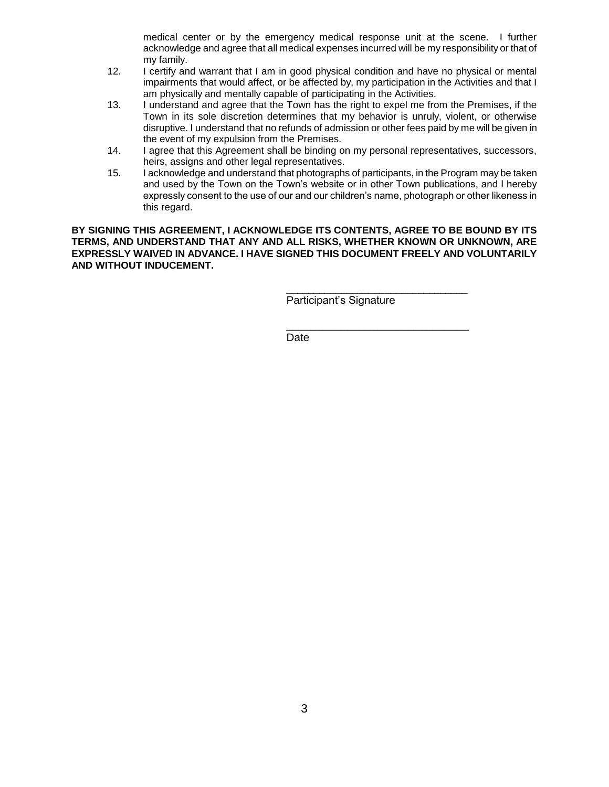medical center or by the emergency medical response unit at the scene. I further acknowledge and agree that all medical expenses incurred will be my responsibility or that of my family.

- 12. I certify and warrant that I am in good physical condition and have no physical or mental impairments that would affect, or be affected by, my participation in the Activities and that I am physically and mentally capable of participating in the Activities.
- 13. I understand and agree that the Town has the right to expel me from the Premises, if the Town in its sole discretion determines that my behavior is unruly, violent, or otherwise disruptive. I understand that no refunds of admission or other fees paid by me will be given in the event of my expulsion from the Premises.
- 14. I agree that this Agreement shall be binding on my personal representatives, successors, heirs, assigns and other legal representatives.
- 15. I acknowledge and understand that photographs of participants, in the Program may be taken and used by the Town on the Town's website or in other Town publications, and I hereby expressly consent to the use of our and our children's name, photograph or other likeness in this regard.

**BY SIGNING THIS AGREEMENT, I ACKNOWLEDGE ITS CONTENTS, AGREE TO BE BOUND BY ITS TERMS, AND UNDERSTAND THAT ANY AND ALL RISKS, WHETHER KNOWN OR UNKNOWN, ARE EXPRESSLY WAIVED IN ADVANCE. I HAVE SIGNED THIS DOCUMENT FREELY AND VOLUNTARILY AND WITHOUT INDUCEMENT.**

Participant's Signature

\_\_\_\_\_\_\_\_\_\_\_\_\_\_\_\_\_\_\_\_\_\_\_\_\_\_\_\_\_\_\_\_\_

\_\_\_\_\_\_\_\_\_\_\_\_\_\_\_\_\_\_\_\_\_\_\_\_\_\_\_\_\_\_

Date